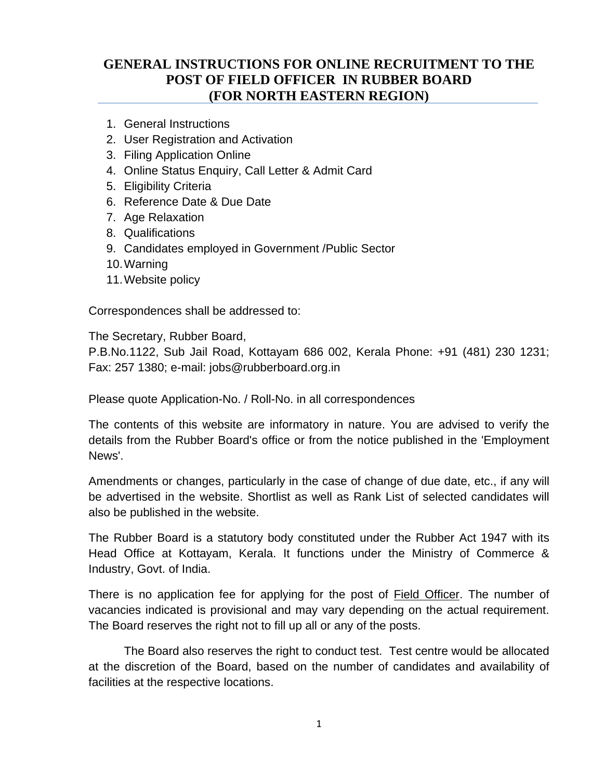# **GENERAL INSTRUCTIONS FOR ONLINE RECRUITMENT TO THE POST OF FIELD OFFICER IN RUBBER BOARD (FOR NORTH EASTERN REGION)**

- 1. General Instructions
- 2. User Registration and Activation
- 3. Filing Application Online
- 4. Online Status Enquiry, Call Letter & Admit Card
- 5. Eligibility Criteria
- 6. Reference Date & Due Date
- 7. Age Relaxation
- 8. Qualifications
- 9. Candidates employed in Government /Public Sector
- 10.Warning
- 11.Website policy

Correspondences shall be addressed to:

The Secretary, Rubber Board,

P.B.No.1122, Sub Jail Road, Kottayam 686 002, Kerala Phone: +91 (481) 230 1231; Fax: 257 1380; e-mail: jobs@rubberboard.org.in

Please quote Application-No. / Roll-No. in all correspondences

The contents of this website are informatory in nature. You are advised to verify the details from the Rubber Board's office or from the notice published in the 'Employment News'.

Amendments or changes, particularly in the case of change of due date, etc., if any will be advertised in the website. Shortlist as well as Rank List of selected candidates will also be published in the website.

The Rubber Board is a statutory body constituted under the Rubber Act 1947 with its Head Office at Kottayam, Kerala. It functions under the Ministry of Commerce & Industry, Govt. of India.

There is no application fee for applying for the post of **Field Officer**. The number of vacancies indicated is provisional and may vary depending on the actual requirement. The Board reserves the right not to fill up all or any of the posts.

The Board also reserves the right to conduct test. Test centre would be allocated at the discretion of the Board, based on the number of candidates and availability of facilities at the respective locations.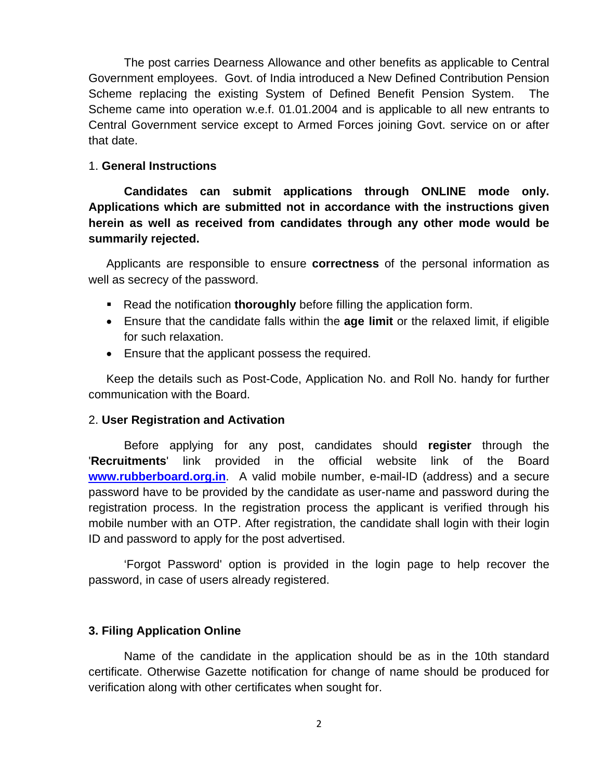The post carries Dearness Allowance and other benefits as applicable to Central Government employees. Govt. of India introduced a New Defined Contribution Pension Scheme replacing the existing System of Defined Benefit Pension System. The Scheme came into operation w.e.f. 01.01.2004 and is applicable to all new entrants to Central Government service except to Armed Forces joining Govt. service on or after that date.

#### 1. **General Instructions**

**Candidates can submit applications through ONLINE mode only. Applications which are submitted not in accordance with the instructions given herein as well as received from candidates through any other mode would be summarily rejected.**

Applicants are responsible to ensure **correctness** of the personal information as well as secrecy of the password.

- Read the notification **thoroughly** before filling the application form.
- Ensure that the candidate falls within the **age limit** or the relaxed limit, if eligible for such relaxation.
- Ensure that the applicant possess the required.

Keep the details such as Post-Code, Application No. and Roll No. handy for further communication with the Board.

#### 2. **User Registration and Activation**

Before applying for any post, candidates should **register** through the '**Recruitments**' link provided in the official website link of the Board **[www.rubberboard.org.in](http://www.rubberboard.org.in/)**. A valid mobile number, e-mail-ID (address) and a secure password have to be provided by the candidate as user-name and password during the registration process. In the registration process the applicant is verified through his mobile number with an OTP. After registration, the candidate shall login with their login ID and password to apply for the post advertised.

'Forgot Password' option is provided in the login page to help recover the password, in case of users already registered.

### **3. Filing Application Online**

Name of the candidate in the application should be as in the 10th standard certificate. Otherwise Gazette notification for change of name should be produced for verification along with other certificates when sought for.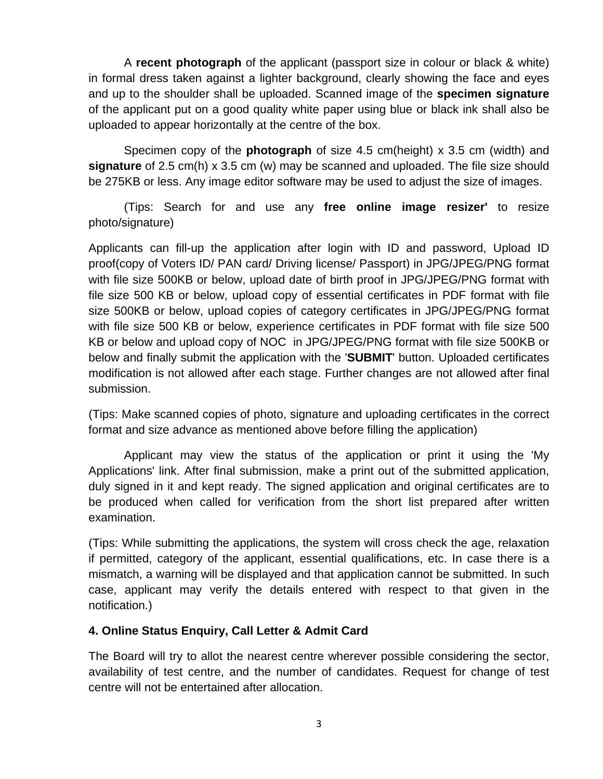A **recent photograph** of the applicant (passport size in colour or black & white) in formal dress taken against a lighter background, clearly showing the face and eyes and up to the shoulder shall be uploaded. Scanned image of the **specimen signature** of the applicant put on a good quality white paper using blue or black ink shall also be uploaded to appear horizontally at the centre of the box.

Specimen copy of the **photograph** of size 4.5 cm(height) x 3.5 cm (width) and **signature** of 2.5 cm(h) x 3.5 cm (w) may be scanned and uploaded. The file size should be 275KB or less. Any image editor software may be used to adjust the size of images.

(Tips: Search for and use any **free online image resizer'** to resize photo/signature)

Applicants can fill-up the application after login with ID and password, Upload ID proof(copy of Voters ID/ PAN card/ Driving license/ Passport) in JPG/JPEG/PNG format with file size 500KB or below, upload date of birth proof in JPG/JPEG/PNG format with file size 500 KB or below, upload copy of essential certificates in PDF format with file size 500KB or below, upload copies of category certificates in JPG/JPEG/PNG format with file size 500 KB or below, experience certificates in PDF format with file size 500 KB or below and upload copy of NOC in JPG/JPEG/PNG format with file size 500KB or below and finally submit the application with the '**SUBMIT**' button. Uploaded certificates modification is not allowed after each stage. Further changes are not allowed after final submission.

(Tips: Make scanned copies of photo, signature and uploading certificates in the correct format and size advance as mentioned above before filling the application)

Applicant may view the status of the application or print it using the 'My Applications' link. After final submission, make a print out of the submitted application, duly signed in it and kept ready. The signed application and original certificates are to be produced when called for verification from the short list prepared after written examination.

(Tips: While submitting the applications, the system will cross check the age, relaxation if permitted, category of the applicant, essential qualifications, etc. In case there is a mismatch, a warning will be displayed and that application cannot be submitted. In such case, applicant may verify the details entered with respect to that given in the notification.)

### **4. Online Status Enquiry, Call Letter & Admit Card**

The Board will try to allot the nearest centre wherever possible considering the sector, availability of test centre, and the number of candidates. Request for change of test centre will not be entertained after allocation.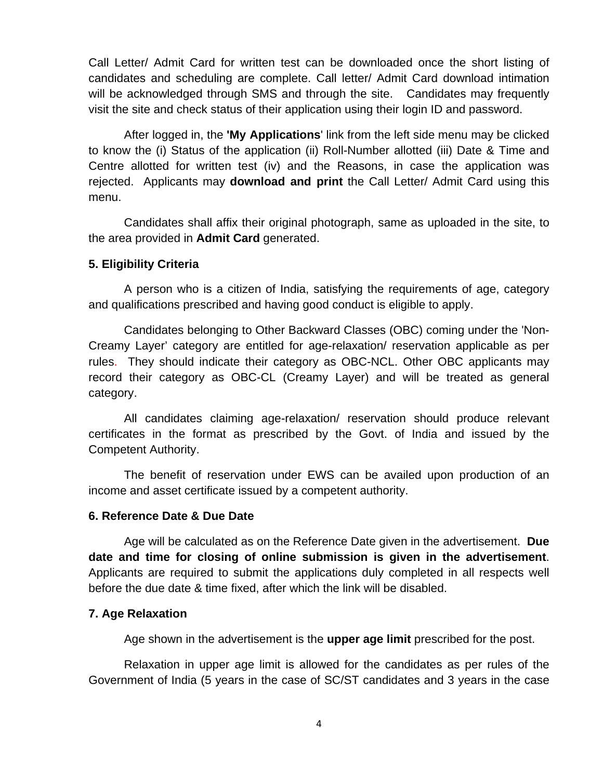Call Letter/ Admit Card for written test can be downloaded once the short listing of candidates and scheduling are complete. Call letter/ Admit Card download intimation will be acknowledged through SMS and through the site. Candidates may frequently visit the site and check status of their application using their login ID and password.

After logged in, the **'My Applications**' link from the left side menu may be clicked to know the (i) Status of the application (ii) Roll-Number allotted (iii) Date & Time and Centre allotted for written test (iv) and the Reasons, in case the application was rejected. Applicants may **download and print** the Call Letter/ Admit Card using this menu.

Candidates shall affix their original photograph, same as uploaded in the site, to the area provided in **Admit Card** generated.

#### **5. Eligibility Criteria**

A person who is a citizen of India, satisfying the requirements of age, category and qualifications prescribed and having good conduct is eligible to apply.

Candidates belonging to Other Backward Classes (OBC) coming under the 'Non-Creamy Layer' category are entitled for age-relaxation/ reservation applicable as per rules. They should indicate their category as OBC-NCL. Other OBC applicants may record their category as OBC-CL (Creamy Layer) and will be treated as general category.

All candidates claiming age-relaxation/ reservation should produce relevant certificates in the format as prescribed by the Govt. of India and issued by the Competent Authority.

The benefit of reservation under EWS can be availed upon production of an income and asset certificate issued by a competent authority.

#### **6. Reference Date & Due Date**

Age will be calculated as on the Reference Date given in the advertisement. **Due date and time for closing of online submission is given in the advertisement**. Applicants are required to submit the applications duly completed in all respects well before the due date & time fixed, after which the link will be disabled.

### **7. Age Relaxation**

Age shown in the advertisement is the **upper age limit** prescribed for the post.

Relaxation in upper age limit is allowed for the candidates as per rules of the Government of India (5 years in the case of SC/ST candidates and 3 years in the case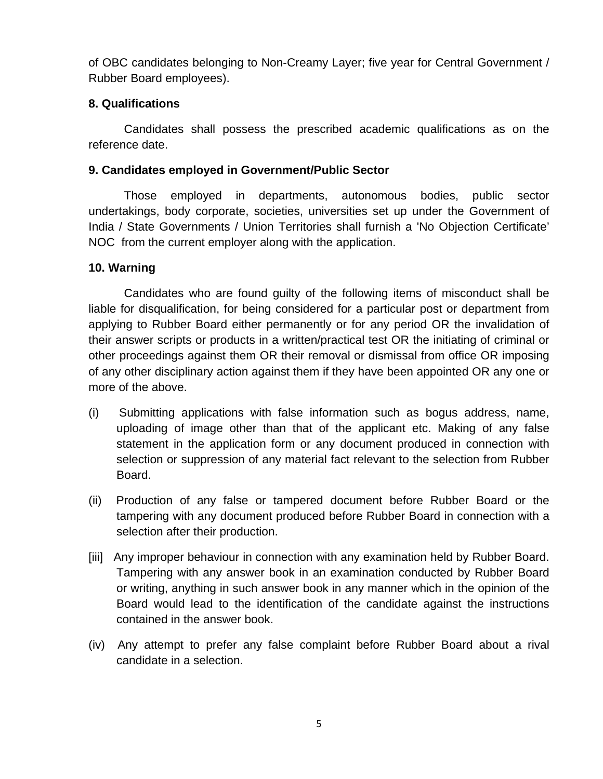of OBC candidates belonging to Non-Creamy Layer; five year for Central Government / Rubber Board employees).

# **8. Qualifications**

Candidates shall possess the prescribed academic qualifications as on the reference date.

# **9. Candidates employed in Government/Public Sector**

Those employed in departments, autonomous bodies, public sector undertakings, body corporate, societies, universities set up under the Government of India / State Governments / Union Territories shall furnish a 'No Objection Certificate' NOC from the current employer along with the application.

# **10. Warning**

Candidates who are found guilty of the following items of misconduct shall be liable for disqualification, for being considered for a particular post or department from applying to Rubber Board either permanently or for any period OR the invalidation of their answer scripts or products in a written/practical test OR the initiating of criminal or other proceedings against them OR their removal or dismissal from office OR imposing of any other disciplinary action against them if they have been appointed OR any one or more of the above.

- (i) Submitting applications with false information such as bogus address, name, uploading of image other than that of the applicant etc. Making of any false statement in the application form or any document produced in connection with selection or suppression of any material fact relevant to the selection from Rubber Board.
- (ii) Production of any false or tampered document before Rubber Board or the tampering with any document produced before Rubber Board in connection with a selection after their production.
- [iii] Any improper behaviour in connection with any examination held by Rubber Board. Tampering with any answer book in an examination conducted by Rubber Board or writing, anything in such answer book in any manner which in the opinion of the Board would lead to the identification of the candidate against the instructions contained in the answer book.
- (iv) Any attempt to prefer any false complaint before Rubber Board about a rival candidate in a selection.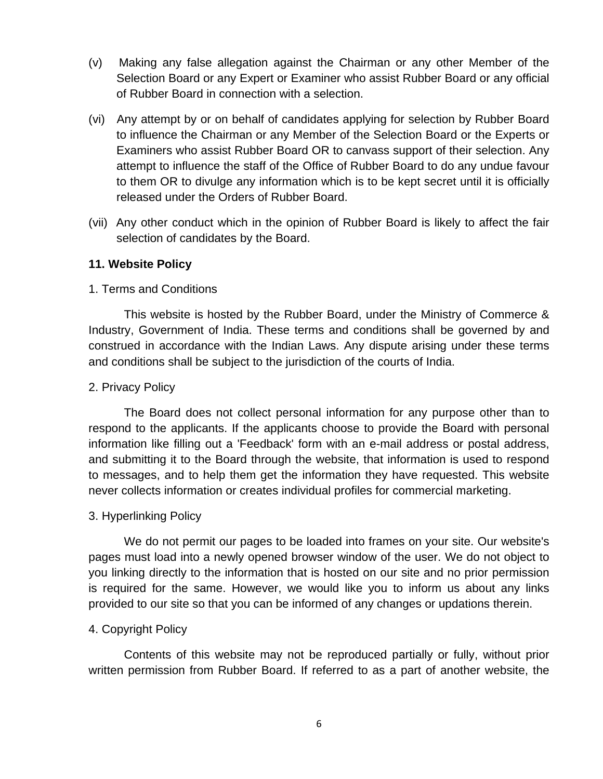- (v) Making any false allegation against the Chairman or any other Member of the Selection Board or any Expert or Examiner who assist Rubber Board or any official of Rubber Board in connection with a selection.
- (vi) Any attempt by or on behalf of candidates applying for selection by Rubber Board to influence the Chairman or any Member of the Selection Board or the Experts or Examiners who assist Rubber Board OR to canvass support of their selection. Any attempt to influence the staff of the Office of Rubber Board to do any undue favour to them OR to divulge any information which is to be kept secret until it is officially released under the Orders of Rubber Board.
- (vii) Any other conduct which in the opinion of Rubber Board is likely to affect the fair selection of candidates by the Board.

### **11. Website Policy**

#### 1. Terms and Conditions

This website is hosted by the Rubber Board, under the Ministry of Commerce & Industry, Government of India. These terms and conditions shall be governed by and construed in accordance with the Indian Laws. Any dispute arising under these terms and conditions shall be subject to the jurisdiction of the courts of India.

#### 2. Privacy Policy

The Board does not collect personal information for any purpose other than to respond to the applicants. If the applicants choose to provide the Board with personal information like filling out a 'Feedback' form with an e-mail address or postal address, and submitting it to the Board through the website, that information is used to respond to messages, and to help them get the information they have requested. This website never collects information or creates individual profiles for commercial marketing.

### 3. Hyperlinking Policy

We do not permit our pages to be loaded into frames on your site. Our website's pages must load into a newly opened browser window of the user. We do not object to you linking directly to the information that is hosted on our site and no prior permission is required for the same. However, we would like you to inform us about any links provided to our site so that you can be informed of any changes or updations therein.

#### 4. Copyright Policy

Contents of this website may not be reproduced partially or fully, without prior written permission from Rubber Board. If referred to as a part of another website, the